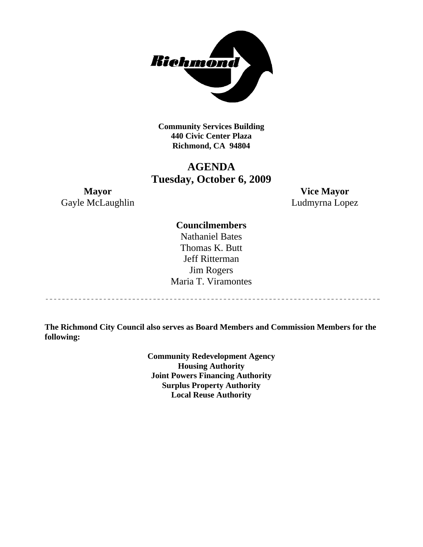

**Community Services Building 440 Civic Center Plaza Richmond, CA 94804** 

# **AGENDA Tuesday, October 6, 2009**

Gayle McLaughlin Ludmyrna Lopez

**Mayor Vice Mayor** 

## **Councilmembers**

Nathaniel Bates Thomas K. Butt Jeff Ritterman Jim Rogers Maria T. Viramontes

**The Richmond City Council also serves as Board Members and Commission Members for the following:** 

> **Community Redevelopment Agency Housing Authority Joint Powers Financing Authority Surplus Property Authority Local Reuse Authority**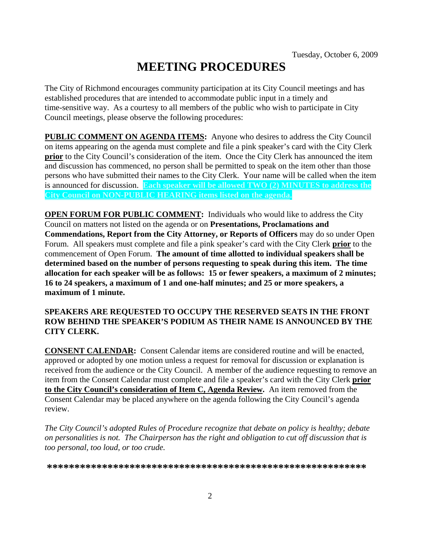# **MEETING PROCEDURES**

The City of Richmond encourages community participation at its City Council meetings and has established procedures that are intended to accommodate public input in a timely and time-sensitive way. As a courtesy to all members of the public who wish to participate in City Council meetings, please observe the following procedures:

**PUBLIC COMMENT ON AGENDA ITEMS:** Anyone who desires to address the City Council on items appearing on the agenda must complete and file a pink speaker's card with the City Clerk **prior** to the City Council's consideration of the item. Once the City Clerk has announced the item and discussion has commenced, no person shall be permitted to speak on the item other than those persons who have submitted their names to the City Clerk. Your name will be called when the item is announced for discussion. **Each speaker will be allowed TWO (2) MINUTES to address the City Council on NON-PUBLIC HEARING items listed on the agenda.** 

**OPEN FORUM FOR PUBLIC COMMENT:** Individuals who would like to address the City Council on matters not listed on the agenda or on **Presentations, Proclamations and Commendations, Report from the City Attorney, or Reports of Officers** may do so under Open Forum. All speakers must complete and file a pink speaker's card with the City Clerk **prior** to the commencement of Open Forum. **The amount of time allotted to individual speakers shall be determined based on the number of persons requesting to speak during this item. The time allocation for each speaker will be as follows: 15 or fewer speakers, a maximum of 2 minutes; 16 to 24 speakers, a maximum of 1 and one-half minutes; and 25 or more speakers, a maximum of 1 minute.** 

## **SPEAKERS ARE REQUESTED TO OCCUPY THE RESERVED SEATS IN THE FRONT ROW BEHIND THE SPEAKER'S PODIUM AS THEIR NAME IS ANNOUNCED BY THE CITY CLERK.**

**CONSENT CALENDAR:** Consent Calendar items are considered routine and will be enacted, approved or adopted by one motion unless a request for removal for discussion or explanation is received from the audience or the City Council. A member of the audience requesting to remove an item from the Consent Calendar must complete and file a speaker's card with the City Clerk **prior to the City Council's consideration of Item C, Agenda Review.** An item removed from the Consent Calendar may be placed anywhere on the agenda following the City Council's agenda review.

*The City Council's adopted Rules of Procedure recognize that debate on policy is healthy; debate on personalities is not. The Chairperson has the right and obligation to cut off discussion that is too personal, too loud, or too crude.* 

**\*\*\*\*\*\*\*\*\*\*\*\*\*\*\*\*\*\*\*\*\*\*\*\*\*\*\*\*\*\*\*\*\*\*\*\*\*\*\*\*\*\*\*\*\*\*\*\*\*\*\*\*\*\*\*\*\*\***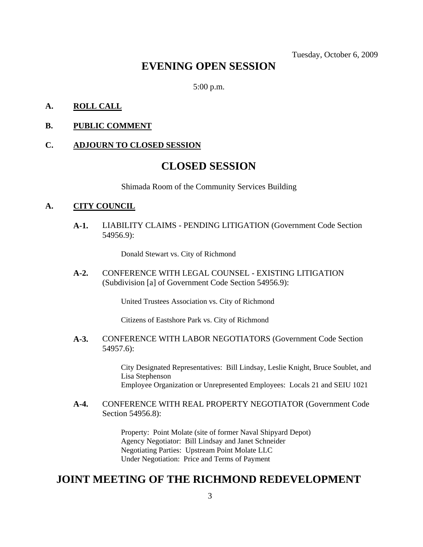Tuesday, October 6, 2009

# **EVENING OPEN SESSION**

5:00 p.m.

## **A. ROLL CALL**

## **B. PUBLIC COMMENT**

#### **C. ADJOURN TO CLOSED SESSION**

# **CLOSED SESSION**

Shimada Room of the Community Services Building

#### **A. CITY COUNCIL**

**A-1.** LIABILITY CLAIMS - PENDING LITIGATION (Government Code Section 54956.9):

Donald Stewart vs. City of Richmond

**A-2.** CONFERENCE WITH LEGAL COUNSEL - EXISTING LITIGATION (Subdivision [a] of Government Code Section 54956.9):

United Trustees Association vs. City of Richmond

Citizens of Eastshore Park vs. City of Richmond

#### **A-3.** CONFERENCE WITH LABOR NEGOTIATORS (Government Code Section 54957.6):

City Designated Representatives: Bill Lindsay, Leslie Knight, Bruce Soublet, and Lisa Stephenson Employee Organization or Unrepresented Employees: Locals 21 and SEIU 1021

## **A-4.** CONFERENCE WITH REAL PROPERTY NEGOTIATOR (Government Code Section 54956.8):

Property: Point Molate (site of former Naval Shipyard Depot) Agency Negotiator: Bill Lindsay and Janet Schneider Negotiating Parties: Upstream Point Molate LLC Under Negotiation: Price and Terms of Payment

## **JOINT MEETING OF THE RICHMOND REDEVELOPMENT**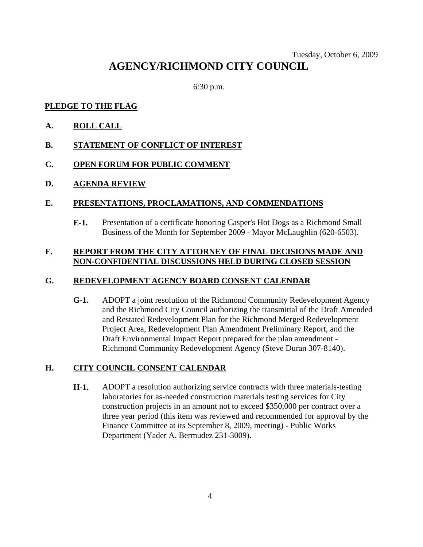## Tuesday, October 6, 2009 **AGENCY/RICHMOND CITY COUNCIL**

6:30 p.m.

## **PLEDGE TO THE FLAG**

- **A. ROLL CALL**
- **B. STATEMENT OF CONFLICT OF INTEREST**
- **C. OPEN FORUM FOR PUBLIC COMMENT**
- **D. AGENDA REVIEW**

## **E. PRESENTATIONS, PROCLAMATIONS, AND COMMENDATIONS**

**E-1.** Presentation of a certificate honoring Casper's Hot Dogs as a Richmond Small Business of the Month for September 2009 - Mayor McLaughlin (620-6503).

## **F. REPORT FROM THE CITY ATTORNEY OF FINAL DECISIONS MADE AND NON-CONFIDENTIAL DISCUSSIONS HELD DURING CLOSED SESSION**

## **G. REDEVELOPMENT AGENCY BOARD CONSENT CALENDAR**

**G-1.** ADOPT a joint resolution of the Richmond Community Redevelopment Agency and the Richmond City Council authorizing the transmittal of the Draft Amended and Restated Redevelopment Plan for the Richmond Merged Redevelopment Project Area, Redevelopment Plan Amendment Preliminary Report, and the Draft Environmental Impact Report prepared for the plan amendment - Richmond Community Redevelopment Agency (Steve Duran 307-8140).

## **H. CITY COUNCIL CONSENT CALENDAR**

**H-1.** ADOPT a resolution authorizing service contracts with three materials-testing laboratories for as-needed construction materials testing services for City construction projects in an amount not to exceed \$350,000 per contract over a three year period (this item was reviewed and recommended for approval by the Finance Committee at its September 8, 2009, meeting) - Public Works Department (Yader A. Bermudez 231-3009).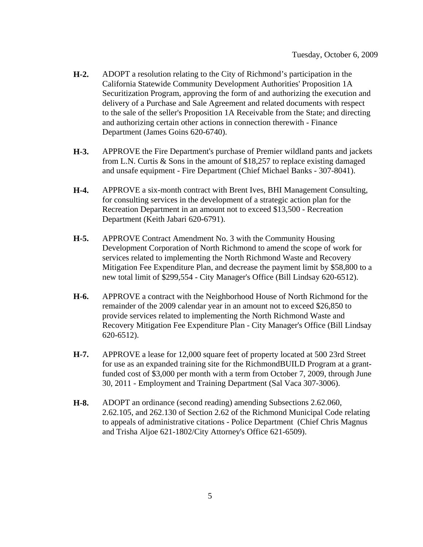- **H-2.** ADOPT a resolution relating to the City of Richmond's participation in the California Statewide Community Development Authorities' Proposition 1A Securitization Program, approving the form of and authorizing the execution and delivery of a Purchase and Sale Agreement and related documents with respect to the sale of the seller's Proposition 1A Receivable from the State; and directing and authorizing certain other actions in connection therewith - Finance Department (James Goins 620-6740).
- **H-3.** APPROVE the Fire Department's purchase of Premier wildland pants and jackets from L.N. Curtis & Sons in the amount of \$18,257 to replace existing damaged and unsafe equipment - Fire Department (Chief Michael Banks - 307-8041).
- **H-4.** APPROVE a six-month contract with Brent Ives, BHI Management Consulting, for consulting services in the development of a strategic action plan for the Recreation Department in an amount not to exceed \$13,500 - Recreation Department (Keith Jabari 620-6791).
- **H-5.** APPROVE Contract Amendment No. 3 with the Community Housing Development Corporation of North Richmond to amend the scope of work for services related to implementing the North Richmond Waste and Recovery Mitigation Fee Expenditure Plan, and decrease the payment limit by \$58,800 to a new total limit of \$299,554 - City Manager's Office (Bill Lindsay 620-6512).
- **H-6.** APPROVE a contract with the Neighborhood House of North Richmond for the remainder of the 2009 calendar year in an amount not to exceed \$26,850 to provide services related to implementing the North Richmond Waste and Recovery Mitigation Fee Expenditure Plan - City Manager's Office (Bill Lindsay 620-6512).
- **H-7.** APPROVE a lease for 12,000 square feet of property located at 500 23rd Street for use as an expanded training site for the RichmondBUILD Program at a grantfunded cost of \$3,000 per month with a term from October 7, 2009, through June 30, 2011 - Employment and Training Department (Sal Vaca 307-3006).
- **H-8.** ADOPT an ordinance (second reading) amending Subsections 2.62.060, 2.62.105, and 262.130 of Section 2.62 of the Richmond Municipal Code relating to appeals of administrative citations - Police Department (Chief Chris Magnus and Trisha Aljoe 621-1802/City Attorney's Office 621-6509).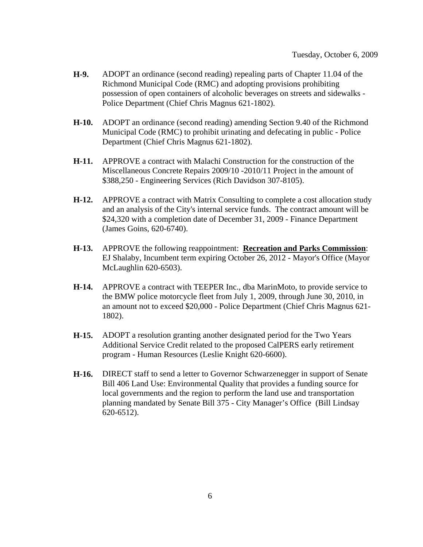- **H-9.** ADOPT an ordinance (second reading) repealing parts of Chapter 11.04 of the Richmond Municipal Code (RMC) and adopting provisions prohibiting possession of open containers of alcoholic beverages on streets and sidewalks - Police Department (Chief Chris Magnus 621-1802).
- **H-10.** ADOPT an ordinance (second reading) amending Section 9.40 of the Richmond Municipal Code (RMC) to prohibit urinating and defecating in public - Police Department (Chief Chris Magnus 621-1802).
- **H-11.** APPROVE a contract with Malachi Construction for the construction of the Miscellaneous Concrete Repairs 2009/10 -2010/11 Project in the amount of \$388,250 - Engineering Services (Rich Davidson 307-8105).
- **H-12.** APPROVE a contract with Matrix Consulting to complete a cost allocation study and an analysis of the City's internal service funds. The contract amount will be \$24,320 with a completion date of December 31, 2009 - Finance Department (James Goins, 620-6740).
- **H-13.** APPROVE the following reappointment: **Recreation and Parks Commission**: EJ Shalaby, Incumbent term expiring October 26, 2012 - Mayor's Office (Mayor McLaughlin 620-6503).
- **H-14.** APPROVE a contract with TEEPER Inc., dba MarinMoto, to provide service to the BMW police motorcycle fleet from July 1, 2009, through June 30, 2010, in an amount not to exceed \$20,000 - Police Department (Chief Chris Magnus 621- 1802).
- **H-15.** ADOPT a resolution granting another designated period for the Two Years Additional Service Credit related to the proposed CalPERS early retirement program - Human Resources (Leslie Knight 620-6600).
- **H-16.** DIRECT staff to send a letter to Governor Schwarzenegger in support of Senate Bill 406 Land Use: Environmental Quality that provides a funding source for local governments and the region to perform the land use and transportation planning mandated by Senate Bill 375 - City Manager's Office (Bill Lindsay 620-6512).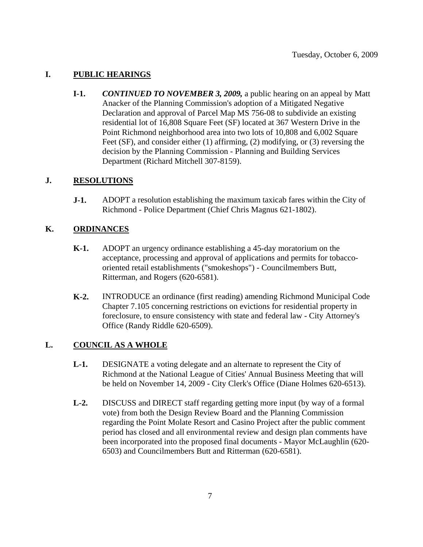## **I. PUBLIC HEARINGS**

**I-1.** *CONTINUED TO NOVEMBER 3, 2009,* a public hearing on an appeal by Matt Anacker of the Planning Commission's adoption of a Mitigated Negative Declaration and approval of Parcel Map MS 756-08 to subdivide an existing residential lot of 16,808 Square Feet (SF) located at 367 Western Drive in the Point Richmond neighborhood area into two lots of 10,808 and 6,002 Square Feet (SF), and consider either (1) affirming, (2) modifying, or (3) reversing the decision by the Planning Commission - Planning and Building Services Department (Richard Mitchell 307-8159).

## **J. RESOLUTIONS**

**J-1.** ADOPT a resolution establishing the maximum taxicab fares within the City of Richmond - Police Department (Chief Chris Magnus 621-1802).

## **K. ORDINANCES**

- **K-1.** ADOPT an urgency ordinance establishing a 45-day moratorium on the acceptance, processing and approval of applications and permits for tobaccooriented retail establishments ("smokeshops") - Councilmembers Butt, Ritterman, and Rogers (620-6581).
- **K-2.** INTRODUCE an ordinance (first reading) amending Richmond Municipal Code Chapter 7.105 concerning restrictions on evictions for residential property in foreclosure, to ensure consistency with state and federal law - City Attorney's Office (Randy Riddle 620-6509).

## **L. COUNCIL AS A WHOLE**

- **L-1.** DESIGNATE a voting delegate and an alternate to represent the City of Richmond at the National League of Cities' Annual Business Meeting that will be held on November 14, 2009 - City Clerk's Office (Diane Holmes 620-6513).
- **L-2.** DISCUSS and DIRECT staff regarding getting more input (by way of a formal vote) from both the Design Review Board and the Planning Commission regarding the Point Molate Resort and Casino Project after the public comment period has closed and all environmental review and design plan comments have been incorporated into the proposed final documents - Mayor McLaughlin (620- 6503) and Councilmembers Butt and Ritterman (620-6581).